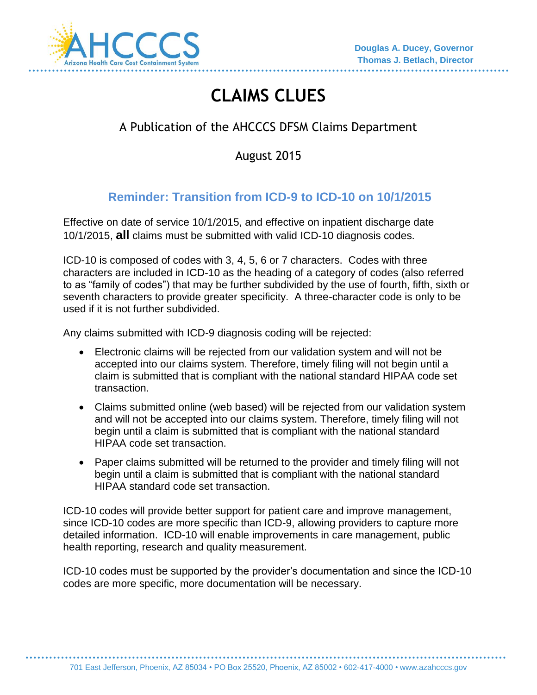

# **CLAIMS CLUES**

# A Publication of the AHCCCS DFSM Claims Department

August 2015

# **Reminder: Transition from ICD-9 to ICD-10 on 10/1/2015**

Effective on date of service 10/1/2015, and effective on inpatient discharge date 10/1/2015, **all** claims must be submitted with valid ICD-10 diagnosis codes.

ICD-10 is composed of codes with 3, 4, 5, 6 or 7 characters. Codes with three characters are included in ICD-10 as the heading of a category of codes (also referred to as "family of codes") that may be further subdivided by the use of fourth, fifth, sixth or seventh characters to provide greater specificity. A three-character code is only to be used if it is not further subdivided.

Any claims submitted with ICD-9 diagnosis coding will be rejected:

- Electronic claims will be rejected from our validation system and will not be accepted into our claims system. Therefore, timely filing will not begin until a claim is submitted that is compliant with the national standard HIPAA code set transaction.
- Claims submitted online (web based) will be rejected from our validation system and will not be accepted into our claims system. Therefore, timely filing will not begin until a claim is submitted that is compliant with the national standard HIPAA code set transaction.
- Paper claims submitted will be returned to the provider and timely filing will not begin until a claim is submitted that is compliant with the national standard HIPAA standard code set transaction.

ICD-10 codes will provide better support for patient care and improve management, since ICD-10 codes are more specific than ICD-9, allowing providers to capture more detailed information. ICD-10 will enable improvements in care management, public health reporting, research and quality measurement.

ICD-10 codes must be supported by the provider's documentation and since the ICD-10 codes are more specific, more documentation will be necessary.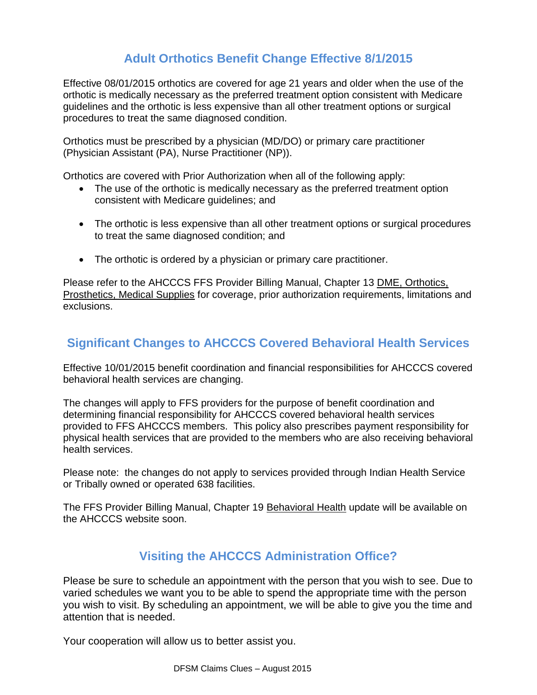## **Adult Orthotics Benefit Change Effective 8/1/2015**

Effective 08/01/2015 orthotics are covered for age 21 years and older when the use of the orthotic is medically necessary as the preferred treatment option consistent with Medicare guidelines and the orthotic is less expensive than all other treatment options or surgical procedures to treat the same diagnosed condition.

Orthotics must be prescribed by a physician (MD/DO) or primary care practitioner (Physician Assistant (PA), Nurse Practitioner (NP)).

Orthotics are covered with Prior Authorization when all of the following apply:

- The use of the orthotic is medically necessary as the preferred treatment option consistent with Medicare guidelines; and
- The orthotic is less expensive than all other treatment options or surgical procedures to treat the same diagnosed condition; and
- The orthotic is ordered by a physician or primary care practitioner.

Please refer to the AHCCCS FFS Provider Billing Manual, Chapter 13 DME, Orthotics, Prosthetics, Medical Supplies for coverage, prior authorization requirements, limitations and exclusions.

### **Significant Changes to AHCCCS Covered Behavioral Health Services**

Effective 10/01/2015 benefit coordination and financial responsibilities for AHCCCS covered behavioral health services are changing.

The changes will apply to FFS providers for the purpose of benefit coordination and determining financial responsibility for AHCCCS covered behavioral health services provided to FFS AHCCCS members. This policy also prescribes payment responsibility for physical health services that are provided to the members who are also receiving behavioral health services.

Please note: the changes do not apply to services provided through Indian Health Service or Tribally owned or operated 638 facilities.

The FFS Provider Billing Manual, Chapter 19 Behavioral Health update will be available on the AHCCCS website soon.

#### **Visiting the AHCCCS Administration Office?**

Please be sure to schedule an appointment with the person that you wish to see. Due to varied schedules we want you to be able to spend the appropriate time with the person you wish to visit. By scheduling an appointment, we will be able to give you the time and attention that is needed.

Your cooperation will allow us to better assist you.